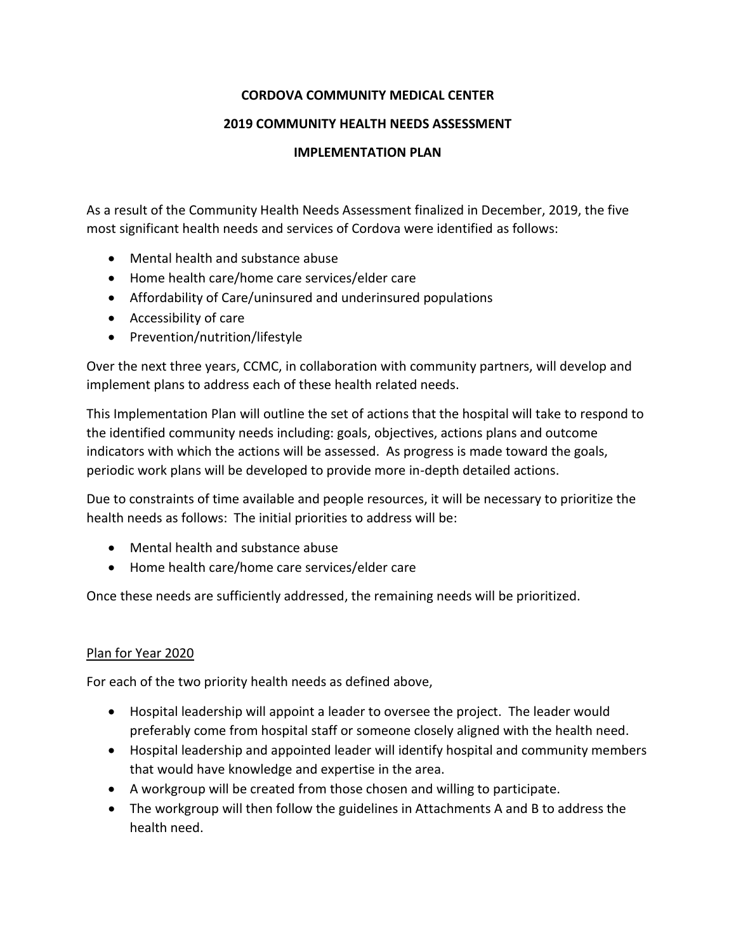# **CORDOVA COMMUNITY MEDICAL CENTER**

### **2019 COMMUNITY HEALTH NEEDS ASSESSMENT**

### **IMPLEMENTATION PLAN**

As a result of the Community Health Needs Assessment finalized in December, 2019, the five most significant health needs and services of Cordova were identified as follows:

- Mental health and substance abuse
- Home health care/home care services/elder care
- Affordability of Care/uninsured and underinsured populations
- Accessibility of care
- Prevention/nutrition/lifestyle

Over the next three years, CCMC, in collaboration with community partners, will develop and implement plans to address each of these health related needs.

This Implementation Plan will outline the set of actions that the hospital will take to respond to the identified community needs including: goals, objectives, actions plans and outcome indicators with which the actions will be assessed. As progress is made toward the goals, periodic work plans will be developed to provide more in-depth detailed actions.

Due to constraints of time available and people resources, it will be necessary to prioritize the health needs as follows: The initial priorities to address will be:

- Mental health and substance abuse
- Home health care/home care services/elder care

Once these needs are sufficiently addressed, the remaining needs will be prioritized.

## Plan for Year 2020

For each of the two priority health needs as defined above,

- Hospital leadership will appoint a leader to oversee the project. The leader would preferably come from hospital staff or someone closely aligned with the health need.
- Hospital leadership and appointed leader will identify hospital and community members that would have knowledge and expertise in the area.
- A workgroup will be created from those chosen and willing to participate.
- The workgroup will then follow the guidelines in Attachments A and B to address the health need.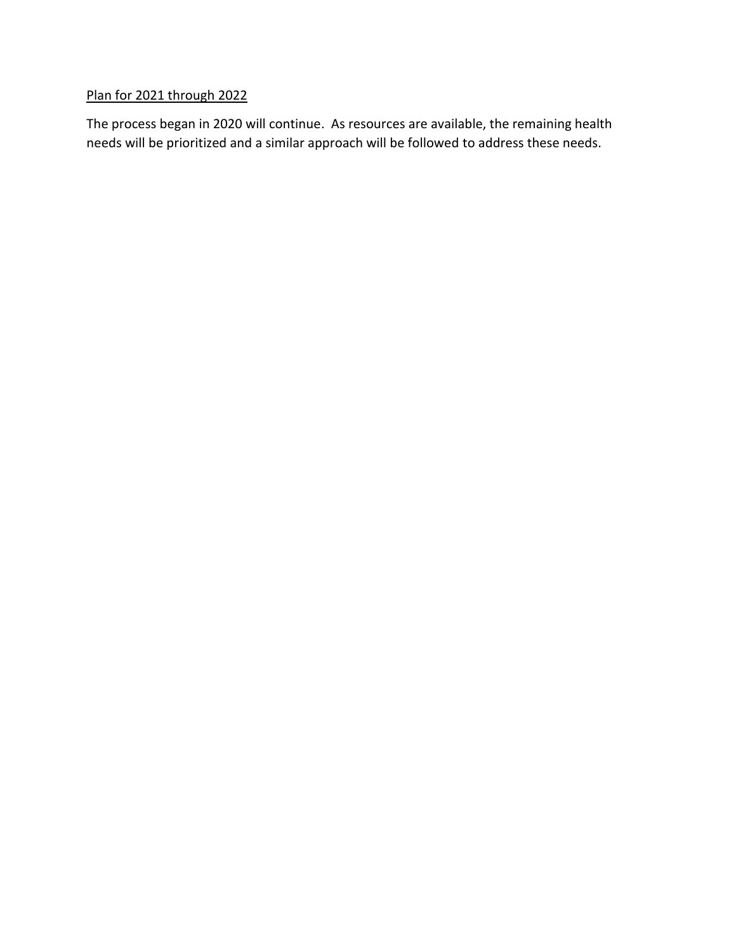# Plan for 2021 through 2022

The process began in 2020 will continue. As resources are available, the remaining health needs will be prioritized and a similar approach will be followed to address these needs.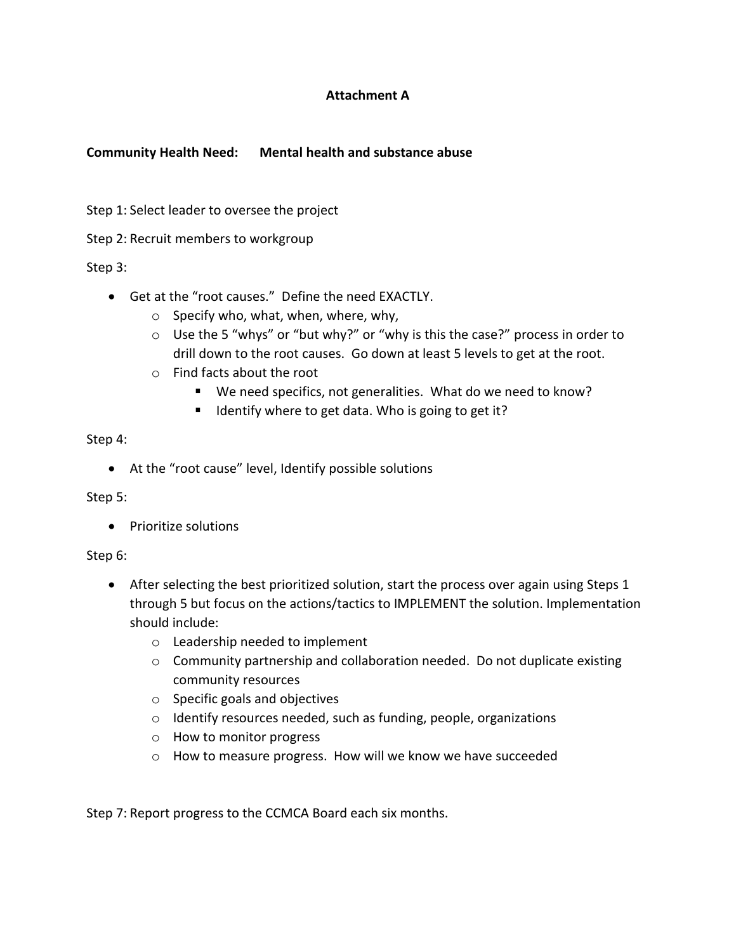## **Attachment A**

### **Community Health Need: Mental health and substance abuse**

Step 1: Select leader to oversee the project

Step 2: Recruit members to workgroup

Step 3:

- Get at the "root causes." Define the need EXACTLY.
	- o Specify who, what, when, where, why,
	- o Use the 5 "whys" or "but why?" or "why is this the case?" process in order to drill down to the root causes. Go down at least 5 levels to get at the root.
	- o Find facts about the root
		- We need specifics, not generalities. What do we need to know?
		- I Identify where to get data. Who is going to get it?

#### Step 4:

At the "root cause" level, Identify possible solutions

Step 5:

• Prioritize solutions

#### Step 6:

- After selecting the best prioritized solution, start the process over again using Steps 1 through 5 but focus on the actions/tactics to IMPLEMENT the solution. Implementation should include:
	- o Leadership needed to implement
	- o Community partnership and collaboration needed. Do not duplicate existing community resources
	- o Specific goals and objectives
	- o Identify resources needed, such as funding, people, organizations
	- o How to monitor progress
	- o How to measure progress. How will we know we have succeeded

Step 7: Report progress to the CCMCA Board each six months.